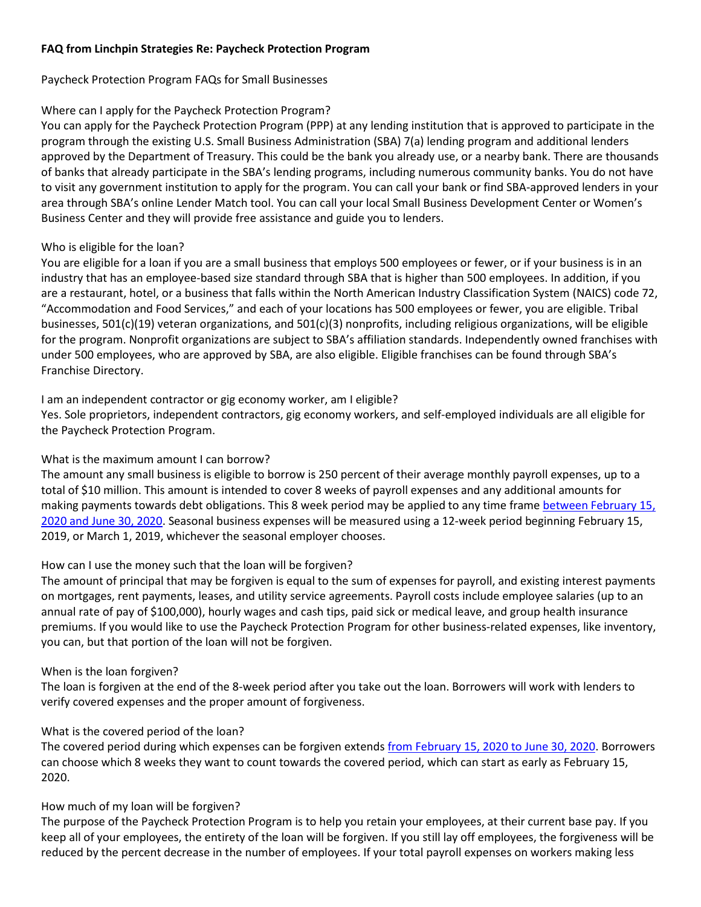## **FAQ from Linchpin Strategies Re: Paycheck Protection Program**

### Paycheck Protection Program FAQs for Small Businesses

## Where can I apply for the Paycheck Protection Program?

You can apply for the Paycheck Protection Program (PPP) at any lending institution that is approved to participate in the program through the existing U.S. Small Business Administration (SBA) 7(a) lending program and additional lenders approved by the Department of Treasury. This could be the bank you already use, or a nearby bank. There are thousands of banks that already participate in the SBA's lending programs, including numerous community banks. You do not have to visit any government institution to apply for the program. You can call your bank or find SBA-approved lenders in your area through SBA's online Lender Match tool. You can call your local Small Business Development Center or Women's Business Center and they will provide free assistance and guide you to lenders.

## Who is eligible for the loan?

You are eligible for a loan if you are a small business that employs 500 employees or fewer, or if your business is in an industry that has an employee-based size standard through SBA that is higher than 500 employees. In addition, if you are a restaurant, hotel, or a business that falls within the North American Industry Classification System (NAICS) code 72, "Accommodation and Food Services," and each of your locations has 500 employees or fewer, you are eligible. Tribal businesses,  $501(c)(19)$  veteran organizations, and  $501(c)(3)$  nonprofits, including religious organizations, will be eligible for the program. Nonprofit organizations are subject to SBA's affiliation standards. Independently owned franchises with under 500 employees, who are approved by SBA, are also eligible. Eligible franchises can be found through SBA's Franchise Directory.

### I am an independent contractor or gig economy worker, am I eligible?

Yes. Sole proprietors, independent contractors, gig economy workers, and self-employed individuals are all eligible for the Paycheck Protection Program.

## What is the maximum amount I can borrow?

The amount any small business is eligible to borrow is 250 percent of their average monthly payroll expenses, up to a total of \$10 million. This amount is intended to cover 8 weeks of payroll expenses and any additional amounts for making payments towards debt obligations. This 8 week period may be applied to any time frame [between February 15,](x-apple-data-detectors://1/)  [2020 and June 30, 2020.](x-apple-data-detectors://1/) Seasonal business expenses will be measured using a 12-week period beginning February 15, 2019, or March 1, 2019, whichever the seasonal employer chooses.

# How can I use the money such that the loan will be forgiven?

The amount of principal that may be forgiven is equal to the sum of expenses for payroll, and existing interest payments on mortgages, rent payments, leases, and utility service agreements. Payroll costs include employee salaries (up to an annual rate of pay of \$100,000), hourly wages and cash tips, paid sick or medical leave, and group health insurance premiums. If you would like to use the Paycheck Protection Program for other business-related expenses, like inventory, you can, but that portion of the loan will not be forgiven.

#### When is the loan forgiven?

The loan is forgiven at the end of the 8-week period after you take out the loan. Borrowers will work with lenders to verify covered expenses and the proper amount of forgiveness.

# What is the covered period of the loan?

The covered period during which expenses can be forgiven extends [from February 15, 2020 to June 30, 2020.](x-apple-data-detectors://5/) Borrowers can choose which 8 weeks they want to count towards the covered period, which can start as early as February 15, 2020.

# How much of my loan will be forgiven?

The purpose of the Paycheck Protection Program is to help you retain your employees, at their current base pay. If you keep all of your employees, the entirety of the loan will be forgiven. If you still lay off employees, the forgiveness will be reduced by the percent decrease in the number of employees. If your total payroll expenses on workers making less